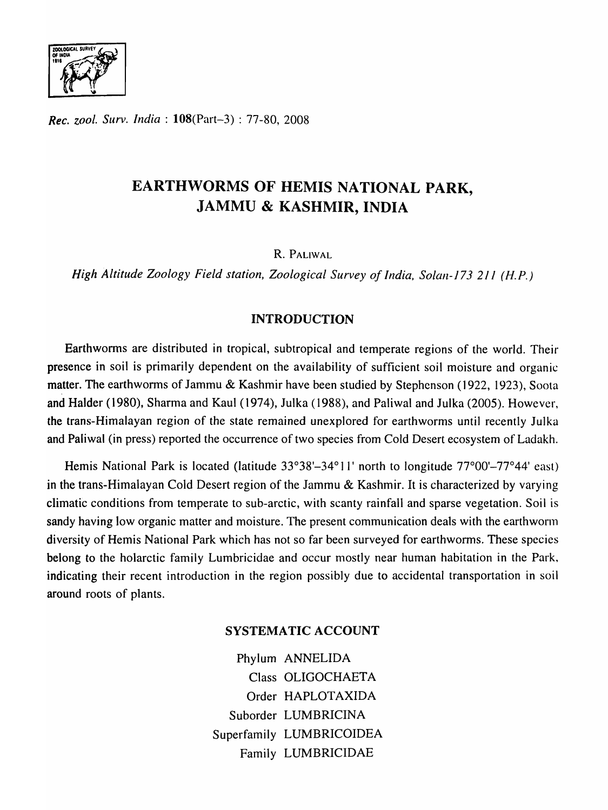

*Rec. zool. Surv. India:* l08(Part-3) : 77-80, 2008

# EARTHWORMS OF HEMIS NATIONAL PARK, JAMMU & KASHMIR, INDIA

R. PALIWAL

*High Altitude Zoology Field station, Zoological Survey of India, Solan-173 211 (H.P.)* 

## INTRODUCTION

Earthworms are distributed in tropical, subtropical and temperate regions of the world. Their presence in soil is primarily dependent on the availability of sufficient soil moisture and organic matter. The earthworms of Jammu & Kashmir have been studied by Stephenson (1922, 1923), Soota and Halder (1980), Sharma and Kaul (1974), Julka (1988), and Paliwal and Julka (2005). However, the trans-Himalayan region of the state remained unexplored for earthworms until recently Julka and Paliwal (in press) reported the occurrence of two species from Cold Desert ecosystem of Ladakh.

Hemis National Park is located (latitude 33°38'-34°11' north to longitude 77°00'-77°44' east) in the trans-Himalayan Cold Desert region of the Jammu & Kashmir. It is characterized by varying climatic conditions from temperate to sub-arctic, with scanty rainfall and sparse vegetation. Soil is sandy having low organic matter and moisture. The present communication deals with the earthwonn diversity of Hemis National Park which has not so far been surveyed for earthworms. These species belong to the holarctic family Lumbricidae and occur mostly near human habitation in the Park, indicating their recent introduction in the region possibly due to accidental transportation in soil around roots of plants.

### SYSTEMATIC ACCOUNT

Phylum ANNELIDA Class OLIGOCHAETA Order HAPLOTAXIDA Suborder LUMBRICINA Superfamily LUMBRICOIDEA Family LUMBRICIDAE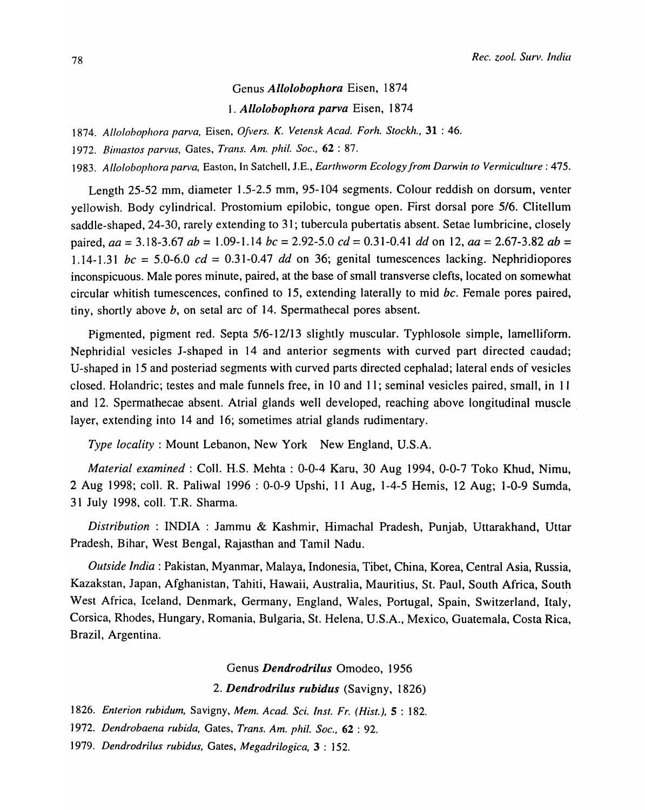## Genus *Allolobophora* Eisen, 1874 *1. Allolobophora parva* Eisen, 1874

*1874. Allolohophora parva,* Eisen, *Dfvers. K. Vetensk Acad. Forh. Stockh.,* 31 : 46.

] 972. *Bimastos parvus,* Gates, *Trans. Am. phil. Soc.,* 62 : 87.

*1983. Allolobophora parva,* Easton, In Satchell, J.E., *Earthworm Ecology from Darwin to Vermiculture* : 475.

Length 25-52 mm, diameter 1.5-2.5 mm, 95-104 segments. Colour reddish on dorsum, venter yellowish. Body cylindrical. Prostomium epilobic, tongue open. First dorsal pore *5/6.* Clitellum saddle-shaped, 24-30, rarely extending to 31; tubercula pubertatis absent. Setae lumbricine, closely paired, *aa* = 3.18-3.67 *ab* = 1.09-1.14 *be* = 2.92-5.0 *ed* = 0.31-0.41 *dd* on 12, *aa* = 2.67-3.82 *ab =*  1.14-1.31  $bc = 5.0$ -6.0  $cd = 0.31$ -0.47 dd on 36; genital tumescences lacking. Nephridiopores inconspicuous. Male pores minute, paired, at the base of small transverse clefts, located on somewhat circular whitish tumescences, confined to 15, extending laterally to mid *be.* Female pores paired, tiny, shortly above  $b$ , on setal arc of 14. Spermathecal pores absent.

Pigmented, pigment red. Septa 5/6-12/13 slightly muscular. Typhlosole simple, lamelliform. Nephridial vesicles J-shaped in 14 and anterior segments with curved part directed caudad; U-shaped in 15 and posteriad segments with curved parts directed cephalad; lateral ends of vesicles closed. Holandric; testes and male funnels free, in 10 and 11; seminal vesicles paired, small, in 11 and 12. Spermathecae absent. Atrial glands well developed, reaching above longitudinal muscle layer, extending into 14 and 16; sometimes atrial glands rudimentary.

*Type loeality* : Mount Lebanon, New York New England, U.S.A.

*Material examined:* ColI. H.S. Mehta : 0-0-4 Karu, 30 Aug 1994, 0-0-7 Toko Khud, Nimu, 2 Aug 1998; colI. R. Paliwal 1996 : 0-0-9 Upshi, 11 Aug, 1-4-5 Hemis, 12 Aug; 1-0-9 Sumda, 31 July 1998, coIl. T.R. Sharma.

*Distribution* : INDIA : Jammu & Kashmir, Himachal Pradesh, Punjab, Uttarakhand, Uttar Pradesh, Bihar, West Bengal, Rajasthan and Tamil Nadu.

*Outside India:* Pakistan, Myanmar, Malaya, Indonesia, Tibet, China, Korea, Central Asia, Russia, Kazakstan, Japan, Afghanistan, Tahiti, Hawaii, Australia, Mauritius, St. Paul, South Africa, South West Africa, Iceland, Denmark, Germany, England, Wales, Portugal, Spain, Switzerland, Italy, Corsica, Rhodes, Hungary, Romania, Bulgaria, St. Helena, U.S.A., Mexico, Guatemala, Costa Rica, Brazil, Argentina.

### Genus *Dendrodrilus* Omodeo, 1956

2. Dendrodrilus rubidus (Savigny, 1826)

*1826. Enterion rubidum,* Savigny. *Mem. A cad. Sci. Inst. Fr. (Hist.),* 5 : 182.

*1972. Dendrobaena rubida,* Gates, *Trans. Am. phil. Soc.,* 62 : 92.

*1979. Dendrodrilus rubidus,* Gates, *Megadrilogica,* 3 : 152.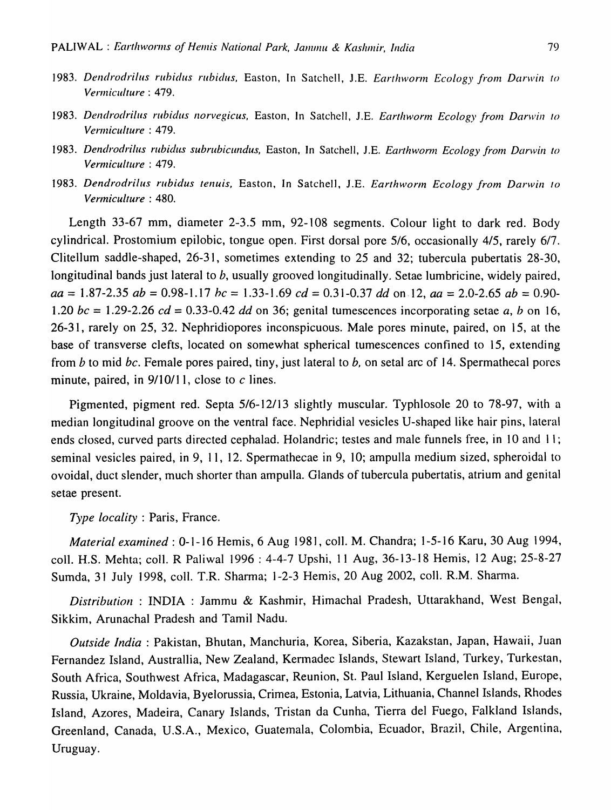- 1983. Dendrodrilus rubidus rubidus, Easton, In Satchell, J.E. *Earthworm Ecology from Darwin to Vermiculture* : 479.
- 1983. Dendrodrilus rubidus norvegicus, Easton, In Satchell, J.E. *Earthworm Ecology from Darwin to Vermiculture* : 479.
- *1983. Dendrodrilus rubidus subrubicundus,* Easton, In Satchell, J.E. *Earthworm Ecology from Darwin to Vermiculture* : 479.
- 1983. Dendrodrilus rubidus tenuis, Easton, In Satchell, J.E. *Earthworm Ecology from Darwin to Vermiculture* : 480.

Length 33-67 mm, diameter 2-3.5 mm, 92-108 segments. Colour light to dark red. Body cylindrical. Prostomium epilobic, tongue open. First dorsal pore *5/6,* occasionally *4/5,* rarely *6/7.*  Clitellum saddle-shaped, 26-31, sometimes extending to 25 and 32; tubercula pubertatis 28-30, longitudinal bands just lateral to b, usually grooved longitudinally. Setae lumbricine, widely paired, *aa* = 1.87-2.35 *ab* = 0.98-1.17 *he* = 1.33-1.69 *cd* = 0.31-0.37 *dd* on, 12, *aa* = 2.0-2.65 *ab* = 0.90- *1.20 be* = 1.29-2.26 *cd* = 0.33-0.42 *dd* on 36; genital tumescences incorporating setae *a, b* on 16, 26-31, rarely on 25, 32. Nephridiopores inconspicuous. Male pores minute, paired, on 15, at the base of transverse clefts, located on somewhat spherical tumescences confined to 15, extending from *b* to mid *be.* Female pores paired, tiny, just lateral to *b,* on setal arc of 14. Spermathecal pores minute, paired, in  $9/10/11$ , close to c lines.

Pigmented, pigment red. Septa *5/6-12/13* slightly muscular. Typhlosole 20 to 78-97, with a median longitudinal groove on the ventral face. Nephridial vesicles V-shaped like hair pins, lateral ends closed, curved parts directed cephalad. Holandric; testes and male funnels free, in 10 and 11; seminal vesicles paired, in 9, 11, 12. Spermathecae in 9, 10; ampulla medium sized, spheroidal to ovoidal, duct slender, much shorter than ampulla. Glands of tubercula pubertatis, atrium and genital setae present.

*Type locality:* Paris, France.

*Material examined:* 0-1-16 Hemis, 6 Aug 1981, coll. M. Chandra; 1-5-16 Karu, 30 Aug 1994, coIl. H.S. Mehta; coIl. R Paliwal 1996 : 4-4-7 Upshi, 11 Aug, 36-13-18 Hemis, 12 Aug; 25-8-27 Sumda, 31 July 1998, colI. T.R. Sharma; 1-2-3 Hemis, 20 Aug 2002, colI. R.M. Sharma.

*Distribution:* INDIA: Jammu & Kashmir, Himachal Pradesh, Uttarakhand, West Bengal, Sikkim, Arunachal Pradesh and Tamil Nadu.

*Outside India:* Pakistan, Bhutan, Manchuria, Korea, Siberia, Kazakstan, Japan, Hawaii, Juan Fernandez Island, Australlia, New Zealand, Kermadec Islands, Stewart Island, Turkey, Turkestan, South Africa, Southwest Africa, Madagascar, Reunion, St. Paul Island, Kerguelen Island, Europe, Russia, Ukraine, Moldavia, Byelorussia, Crimea, Estonia, Latvia, Lithuania, Channel Islands, Rhodes Island, Azores, Madeira, Canary Islands, Tristan da Cunha, Tierra del Fuego, Falkland Islands, Greenland, Canada, U.S.A., Mexico, Guatemala, Colombia, Ecuador, Brazil, Chile, Argentina, Uruguay.